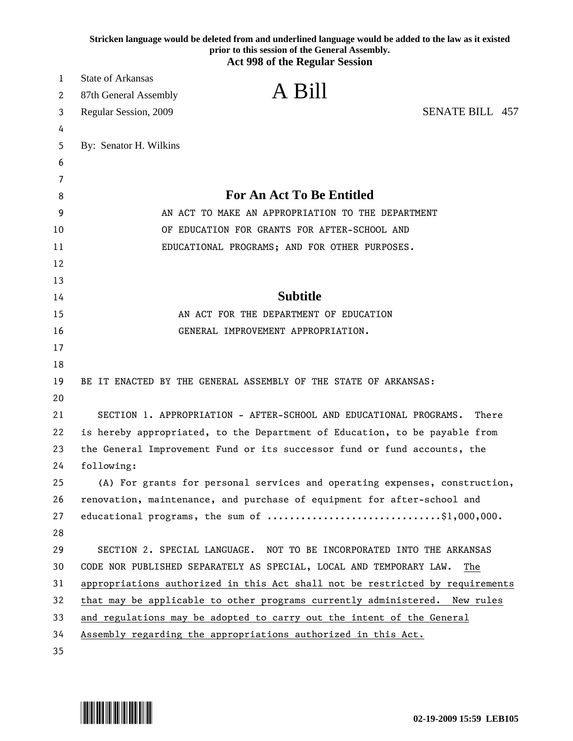|    | Stricken language would be deleted from and underlined language would be added to the law as it existed<br>prior to this session of the General Assembly.<br><b>Act 998 of the Regular Session</b> |
|----|----------------------------------------------------------------------------------------------------------------------------------------------------------------------------------------------------|
| 1  | <b>State of Arkansas</b>                                                                                                                                                                           |
| 2  | A Bill<br>87th General Assembly                                                                                                                                                                    |
| 3  | <b>SENATE BILL 457</b><br>Regular Session, 2009                                                                                                                                                    |
| 4  |                                                                                                                                                                                                    |
| 5  | By: Senator H. Wilkins                                                                                                                                                                             |
| 6  |                                                                                                                                                                                                    |
| 7  |                                                                                                                                                                                                    |
| 8  | <b>For An Act To Be Entitled</b>                                                                                                                                                                   |
| 9  | AN ACT TO MAKE AN APPROPRIATION TO THE DEPARTMENT                                                                                                                                                  |
| 10 | OF EDUCATION FOR GRANTS FOR AFTER-SCHOOL AND                                                                                                                                                       |
| 11 | EDUCATIONAL PROGRAMS; AND FOR OTHER PURPOSES.                                                                                                                                                      |
| 12 |                                                                                                                                                                                                    |
| 13 |                                                                                                                                                                                                    |
| 14 | <b>Subtitle</b>                                                                                                                                                                                    |
| 15 | AN ACT FOR THE DEPARTMENT OF EDUCATION                                                                                                                                                             |
| 16 | GENERAL IMPROVEMENT APPROPRIATION.                                                                                                                                                                 |
| 17 |                                                                                                                                                                                                    |
| 18 |                                                                                                                                                                                                    |
| 19 | BE IT ENACTED BY THE GENERAL ASSEMBLY OF THE STATE OF ARKANSAS:                                                                                                                                    |
| 20 |                                                                                                                                                                                                    |
| 21 | SECTION 1. APPROPRIATION - AFTER-SCHOOL AND EDUCATIONAL PROGRAMS.<br>There                                                                                                                         |
| 22 | is hereby appropriated, to the Department of Education, to be payable from                                                                                                                         |
| 23 | the General Improvement Fund or its successor fund or fund accounts, the                                                                                                                           |
| 24 | following:                                                                                                                                                                                         |
| 25 | (A) For grants for personal services and operating expenses, construction,                                                                                                                         |
| 26 | renovation, maintenance, and purchase of equipment for after-school and                                                                                                                            |
| 27 | educational programs, the sum of \$1,000,000.                                                                                                                                                      |
| 28 |                                                                                                                                                                                                    |
| 29 | SECTION 2. SPECIAL LANGUAGE. NOT TO BE INCORPORATED INTO THE ARKANSAS                                                                                                                              |
| 30 | CODE NOR PUBLISHED SEPARATELY AS SPECIAL, LOCAL AND TEMPORARY LAW.<br>The                                                                                                                          |
| 31 | appropriations authorized in this Act shall not be restricted by requirements                                                                                                                      |
| 32 | that may be applicable to other programs currently administered. New rules                                                                                                                         |
| 33 | and regulations may be adopted to carry out the intent of the General                                                                                                                              |
| 34 | Assembly regarding the appropriations authorized in this Act.                                                                                                                                      |
| 35 |                                                                                                                                                                                                    |

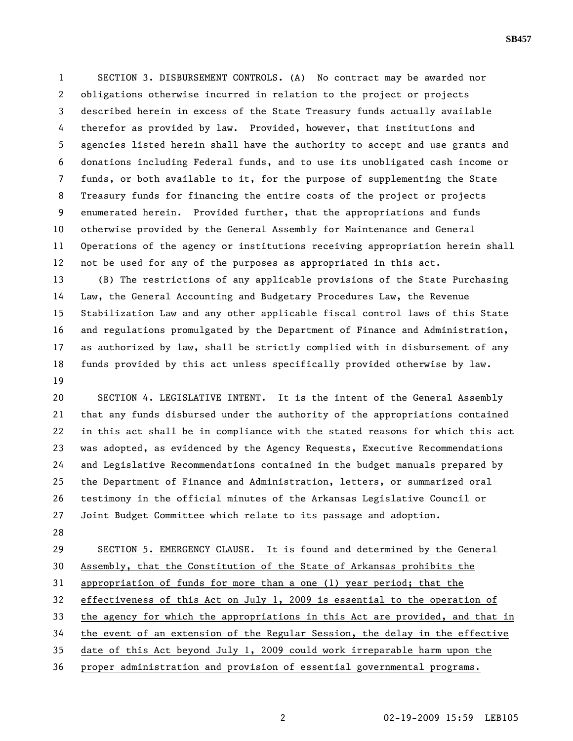1 SECTION 3. DISBURSEMENT CONTROLS. (A) No contract may be awarded nor 2 obligations otherwise incurred in relation to the project or projects 3 described herein in excess of the State Treasury funds actually available 4 therefor as provided by law. Provided, however, that institutions and 5 agencies listed herein shall have the authority to accept and use grants and 6 donations including Federal funds, and to use its unobligated cash income or 7 funds, or both available to it, for the purpose of supplementing the State 8 Treasury funds for financing the entire costs of the project or projects 9 enumerated herein. Provided further, that the appropriations and funds 10 otherwise provided by the General Assembly for Maintenance and General 11 Operations of the agency or institutions receiving appropriation herein shall 12 not be used for any of the purposes as appropriated in this act.

13 (B) The restrictions of any applicable provisions of the State Purchasing 14 Law, the General Accounting and Budgetary Procedures Law, the Revenue 15 Stabilization Law and any other applicable fiscal control laws of this State 16 and regulations promulgated by the Department of Finance and Administration, 17 as authorized by law, shall be strictly complied with in disbursement of any 18 funds provided by this act unless specifically provided otherwise by law. 19

20 SECTION 4. LEGISLATIVE INTENT. It is the intent of the General Assembly 21 that any funds disbursed under the authority of the appropriations contained 22 in this act shall be in compliance with the stated reasons for which this act 23 was adopted, as evidenced by the Agency Requests, Executive Recommendations 24 and Legislative Recommendations contained in the budget manuals prepared by 25 the Department of Finance and Administration, letters, or summarized oral 26 testimony in the official minutes of the Arkansas Legislative Council or 27 Joint Budget Committee which relate to its passage and adoption.

28

29 SECTION 5. EMERGENCY CLAUSE. It is found and determined by the General 30 Assembly, that the Constitution of the State of Arkansas prohibits the 31 appropriation of funds for more than a one (1) year period; that the 32 effectiveness of this Act on July 1, 2009 is essential to the operation of 33 the agency for which the appropriations in this Act are provided, and that in 34 the event of an extension of the Regular Session, the delay in the effective 35 date of this Act beyond July 1, 2009 could work irreparable harm upon the 36 proper administration and provision of essential governmental programs.